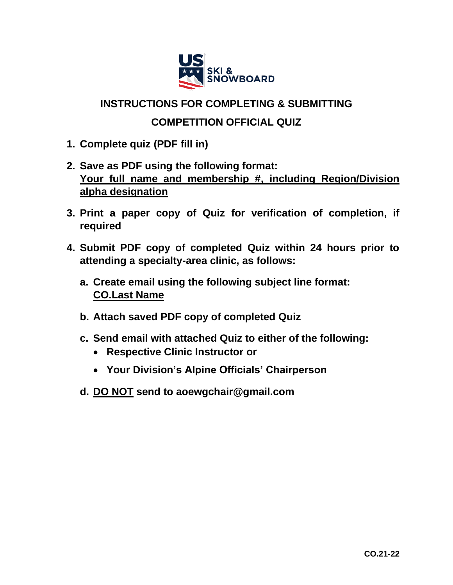

## **INSTRUCTIONS FOR COMPLETING & SUBMITTING**

## **COMPETITION OFFICIAL QUIZ**

- **1. Complete quiz (PDF fill in)**
- **2. Save as PDF using the following format: Your full name and membership #, including Region/Division alpha designation**
- **3. Print a paper copy of Quiz for verification of completion, if required**
- **4. Submit PDF copy of completed Quiz within 24 hours prior to attending a specialty-area clinic, as follows:** 
	- **a. Create email using the following subject line format: CO.Last Name**
	- **b. Attach saved PDF copy of completed Quiz**
	- **c. Send email with attached Quiz to either of the following:** 
		- **Respective Clinic Instructor or**
		- **Your Division's Alpine Officials' Chairperson**
	- **d. DO NOT send to aoewgchair@gmail.com**